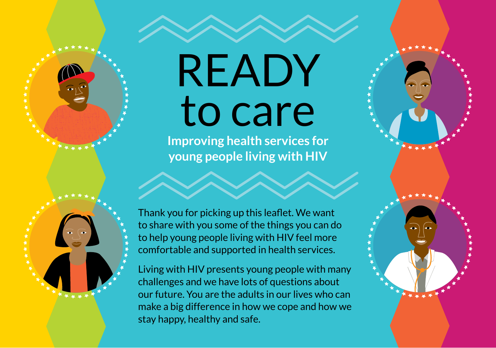## READY to care

**Improving health services for young people living with HIV**

Thank you for picking up this leaflet. We want to share with you some of the things you can do to help young people living with HIV feel more comfortable and supported in health services.

Living with HIV presents young people with many challenges and we have lots of questions about our future. You are the adults in our lives who can make a big difference in how we cope and how we stay happy, healthy and safe.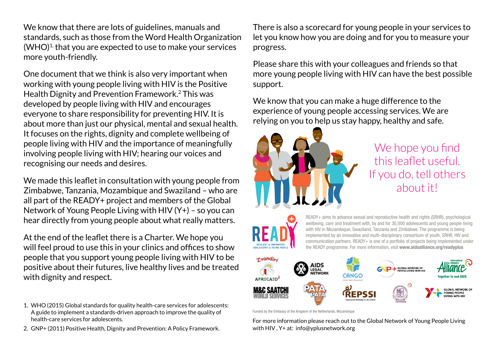We know that there are lots of guidelines, manuals and standards, such as those from the Word Health Organization  $(WHO)<sup>1</sup>$  that you are expected to use to make your services more youth-friendly.

One document that we think is also very important when working with young people living with HIV is the Positive Health Dignity and Prevention Framework.2 This was developed by people living with HIV and encourages everyone to share responsibility for preventing HIV. It is about more than just our physical, mental and sexual health. It focuses on the rights, dignity and complete wellbeing of people living with HIV and the importance of meaningfully involving people living with HIV; hearing our voices and recognising our needs and desires.

We made this leaflet in consultation with young people from Zimbabwe, Tanzania, Mozambique and Swaziland – who are all part of the READY+ project and members of the Global Network of Young People Living with HIV (Y+) – so you can hear directly from young people about what really matters.

At the end of the leaflet there is a Charter. We hope you will feel proud to use this in your clinics and offices to show people that you support young people living with HIV to be positive about their futures, live healthy lives and be treated with dignity and respect.

- 1. WHO (2015) Global standards for quality health-care services for adolescents: A guide to implement a standards-driven approach to improve the quality of health-care services for adolescents.
- 2. GNP+ (2011) Positive Health, Dignity and Prevention: A Policy Framework.

There is also a scorecard for young people in your services to let you know how you are doing and for you to measure your progress.

Please share this with your colleagues and friends so that more young people living with HIV can have the best possible support.

We know that you can make a huge difference to the experience of young people accessing services. We are relying on you to help us stay happy, healthy and safe.



We hope you find this leaflet useful. If you do, tell others about it!



READY+ aims to advance sexual and reproductive health and rights (SRHR), psychological wellbeing, care and treatment with, by and for 30,000 adolescents and young people living with HIV in Mozambique, Swaziland, Tanzania and Zimbabwe. The programme is being implemented by an innovative and multi-disciplinary consortium of youth, SRHR, HIV and communication partners. READY+ is one of a portfolio of projects being implemented under the READY programme. For more information, visit www.aidsalliance.org/readyplus



Funded by the Embassy of the Kingdom of the Netherlands, Mozambique

For more information please reach out to the Global Network of Young People Living with HIV , Y+ at: info@yplusnetwork.org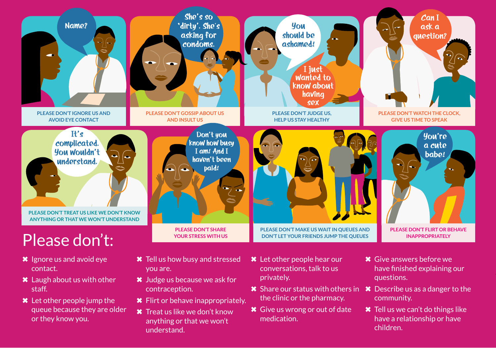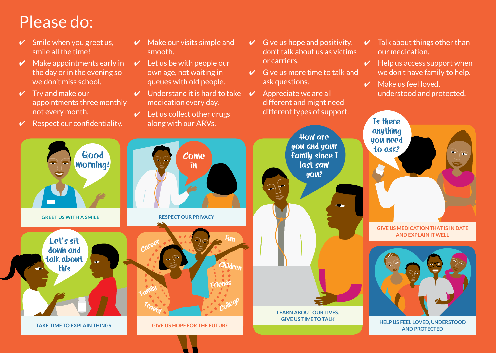## Please do:

- $\checkmark$  Smile when you greet us, smile all the time!
- $\vee$  Make appointments early in the day or in the evening so we don't miss school.
- $\vee$  Try and make our appointments three monthly not every month.
- $\mathcal V$  Respect our confidentiality.
- $\boldsymbol{\nu}$  Make our visits simple and smooth.
- $\vee$  Let us be with people our own age, not waiting in queues with old people.
- $\vee$  Understand it is hard to take medication every day.
- $\mathcal V$  Let us collect other drugs along with our ARVs.
- $\vee$  Give us hope and positivity. don't talk about us as victims or carriers.
- $\vee$  Give us more time to talk and ask questions.
- $\vee$  Appreciate we are all different and might need different types of support.

**How are you and your** 

> **last saw you?**

**Learn about our lives. Give us time to talk**

- $\vee$  Talk about things other than our medication.
- $\vee$  Help us access support when we don't have family to help.
- $\vee$  Make us feel loved. understood and protected.



**Help us feel loved, understood and protected**

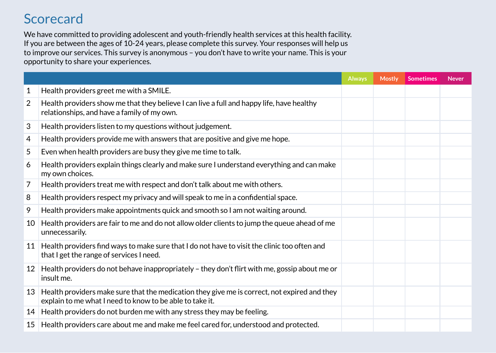## **Scorecard**

We have committed to providing adolescent and youth-friendly health services at this health facility. If you are between the ages of 10-24 years, please complete this survey. Your responses will help us to improve our services. This survey is anonymous – you don't have to write your name. This is your opportunity to share your experiences.

|    |                                                                                                                                                          | <b>Always</b> | <b>Mostly</b> | <b>Sometimes</b> | <b>Never</b> |
|----|----------------------------------------------------------------------------------------------------------------------------------------------------------|---------------|---------------|------------------|--------------|
| 1  | Health providers greet me with a SMILE.                                                                                                                  |               |               |                  |              |
| 2  | Health providers show me that they believe I can live a full and happy life, have healthy<br>relationships, and have a family of my own.                 |               |               |                  |              |
| 3  | Health providers listen to my questions without judgement.                                                                                               |               |               |                  |              |
| 4  | Health providers provide me with answers that are positive and give me hope.                                                                             |               |               |                  |              |
| 5  | Even when health providers are busy they give me time to talk.                                                                                           |               |               |                  |              |
| 6  | Health providers explain things clearly and make sure I understand everything and can make<br>my own choices.                                            |               |               |                  |              |
| 7  | Health providers treat me with respect and don't talk about me with others.                                                                              |               |               |                  |              |
| 8  | Health providers respect my privacy and will speak to me in a confidential space.                                                                        |               |               |                  |              |
| 9  | Health providers make appointments quick and smooth so I am not waiting around.                                                                          |               |               |                  |              |
| 10 | Health providers are fair to me and do not allow older clients to jump the queue ahead of me<br>unnecessarily.                                           |               |               |                  |              |
| 11 | Health providers find ways to make sure that I do not have to visit the clinic too often and<br>that I get the range of services I need.                 |               |               |                  |              |
| 12 | Health providers do not behave inappropriately - they don't flirt with me, gossip about me or<br>insult me.                                              |               |               |                  |              |
| 13 | Health providers make sure that the medication they give me is correct, not expired and they<br>explain to me what I need to know to be able to take it. |               |               |                  |              |
|    | 14 Health providers do not burden me with any stress they may be feeling.                                                                                |               |               |                  |              |
| 15 | Health providers care about me and make me feel cared for, understood and protected.                                                                     |               |               |                  |              |